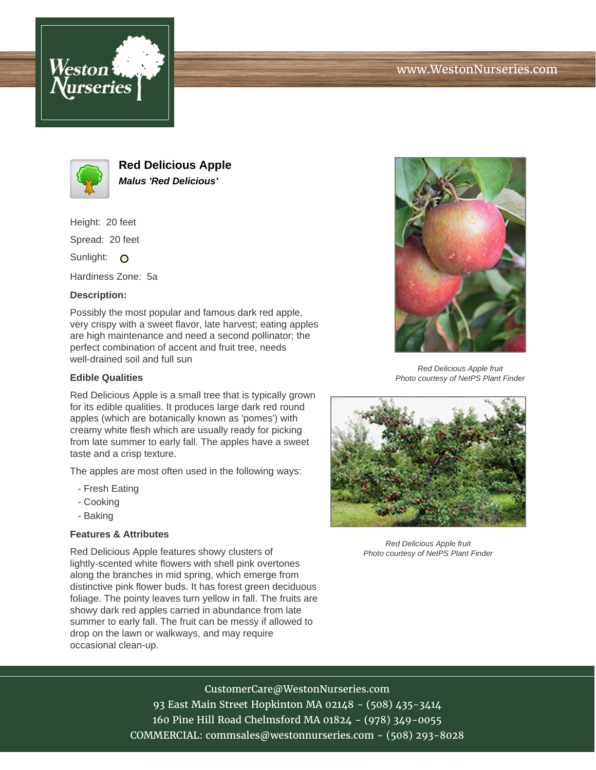



**Red Delicious Apple Malus 'Red Delicious'**

Height: 20 feet

Spread: 20 feet

Sunlight: O

Hardiness Zone: 5a

# **Description:**

Possibly the most popular and famous dark red apple, very crispy with a sweet flavor, late harvest; eating apples are high maintenance and need a second pollinator; the perfect combination of accent and fruit tree, needs well-drained soil and full sun

# **Edible Qualities**

Red Delicious Apple is a small tree that is typically grown for its edible qualities. It produces large dark red round apples (which are botanically known as 'pomes') with creamy white flesh which are usually ready for picking from late summer to early fall. The apples have a sweet taste and a crisp texture.

The apples are most often used in the following ways:

- Fresh Eating
- Cooking
- Baking

# **Features & Attributes**

Red Delicious Apple features showy clusters of lightly-scented white flowers with shell pink overtones along the branches in mid spring, which emerge from distinctive pink flower buds. It has forest green deciduous foliage. The pointy leaves turn yellow in fall. The fruits are showy dark red apples carried in abundance from late summer to early fall. The fruit can be messy if allowed to drop on the lawn or walkways, and may require occasional clean-up.



Red Delicious Apple fruit Photo courtesy of NetPS Plant Finder



Red Delicious Apple fruit Photo courtesy of NetPS Plant Finder

# CustomerCare@WestonNurseries.com

93 East Main Street Hopkinton MA 02148 - (508) 435-3414 160 Pine Hill Road Chelmsford MA 01824 - (978) 349-0055 COMMERCIAL: commsales@westonnurseries.com - (508) 293-8028